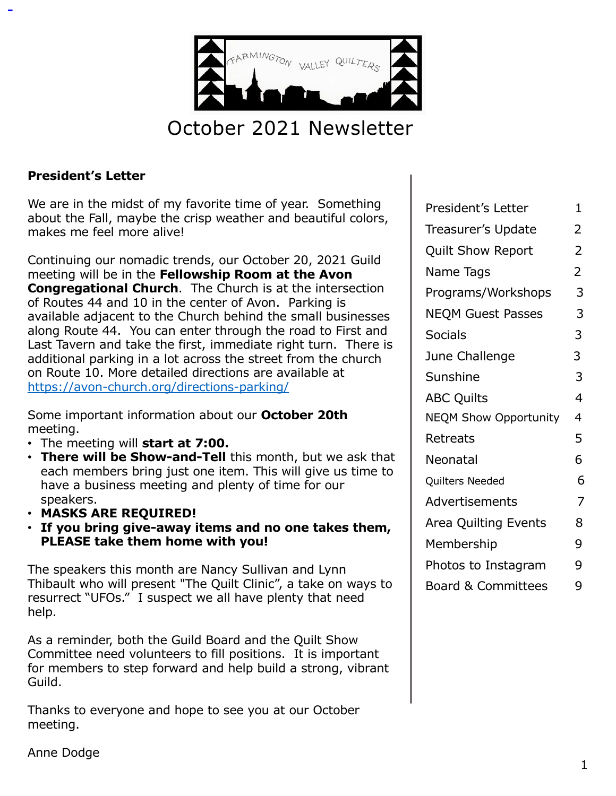

# October 2021 Newsletter

#### **President's Letter**

We are in the midst of my favorite time of year. Something about the Fall, maybe the crisp weather and beautiful colors, makes me feel more alive!

Continuing our nomadic trends, our October 20, 2021 Guild meeting will be in the **Fellowship Room at the Avon Congregational Church.** The Church is at the intersection of Routes 44 and 10 in the center of Avon. Parking is available adjacent to the Church behind the small businesses along Route 44. You can enter through the road to First and Last Tavern and take the first, immediate right turn. There is additional parking in a lot across the street from the church on Route 10. More detailed directions are available at [https://avon-church.org/directions-parking](https://avon-church.org/directions-parking/)/

Some important information about our **October 20th** meeting.

- The meeting will **start at 7:00.**
- **There will be Show-and-Tell** this month, but we ask that each members bring just one item. This will give us time to have a business meeting and plenty of time for our speakers.
- **MASKS ARE REQUIRED!**
- **If you bring give-away items and no one takes them, PLEASE take them home with you!**

The speakers this month are Nancy Sullivan and Lynn Thibault who will present "The Quilt Clinic", a take on ways to resurrect "UFOs." I suspect we all have plenty that need help.

As a reminder, both the Guild Board and the Quilt Show Committee need volunteers to fill positions. It is important for members to step forward and help build a strong, vibrant Guild.

Thanks to everyone and hope to see you at our October meeting.

| President's Letter            | 1              |
|-------------------------------|----------------|
| Treasurer's Update            | 2              |
| <b>Quilt Show Report</b>      | 2              |
| Name Tags                     | $\overline{2}$ |
| Programs/Workshops            | 3              |
| <b>NEQM Guest Passes</b>      | 3              |
| <b>Socials</b>                | 3              |
| June Challenge                | 3              |
| Sunshine                      | 3              |
| <b>ABC Quilts</b>             | 4              |
| <b>NEQM Show Opportunity</b>  | 4              |
| Retreats                      | 5              |
| Neonatal                      | 6              |
| Quilters Needed               | 6              |
| Advertisements                | 7              |
| Area Quilting Events          | 8              |
| Membership                    | 9              |
| Photos to Instagram           | 9              |
| <b>Board &amp; Committees</b> | 9              |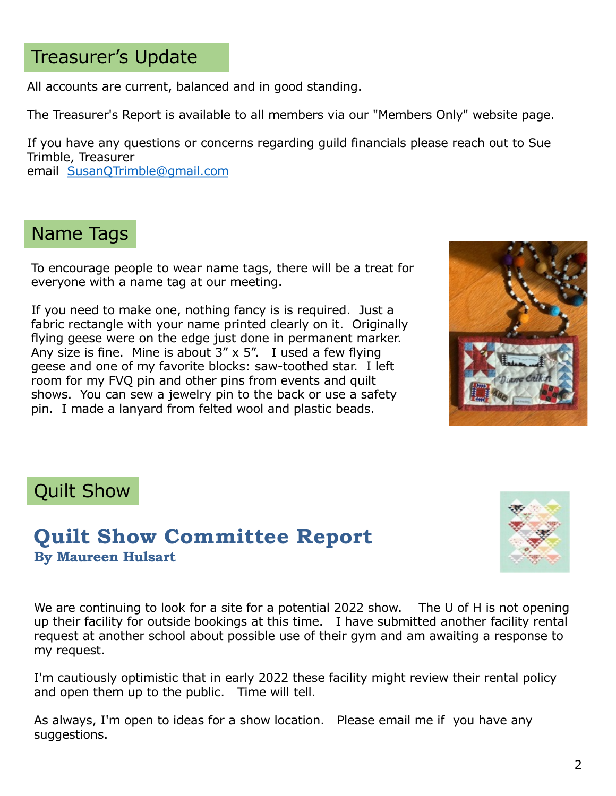# Treasurer's Update

All accounts are current, balanced and in good standing.

The Treasurer's Report is available to all members via our "Members Only" website page.

If you have any questions or concerns regarding guild financials please reach out to Sue Trimble, Treasurer

email [SusanQTrimble@gmail.com](mailto:SusanQTrimble@gmail.com)

# Name Tags

To encourage people to wear name tags, there will be a treat for everyone with a name tag at our meeting.

If you need to make one, nothing fancy is is required. Just a fabric rectangle with your name printed clearly on it. Originally flying geese were on the edge just done in permanent marker. Any size is fine. Mine is about  $3'' \times 5''$ . I used a few flying geese and one of my favorite blocks: saw-toothed star. I left room for my FVQ pin and other pins from events and quilt shows. You can sew a jewelry pin to the back or use a safety pin. I made a lanyard from felted wool and plastic beads.





## **Quilt Show Committee Report By Maureen Hulsart**



We are continuing to look for a site for a potential 2022 show. The U of H is not opening up their facility for outside bookings at this time. I have submitted another facility rental request at another school about possible use of their gym and am awaiting a response to my request.

I'm cautiously optimistic that in early 2022 these facility might review their rental policy and open them up to the public. Time will tell.

As always, I'm open to ideas for a show location. Please email me if you have any suggestions.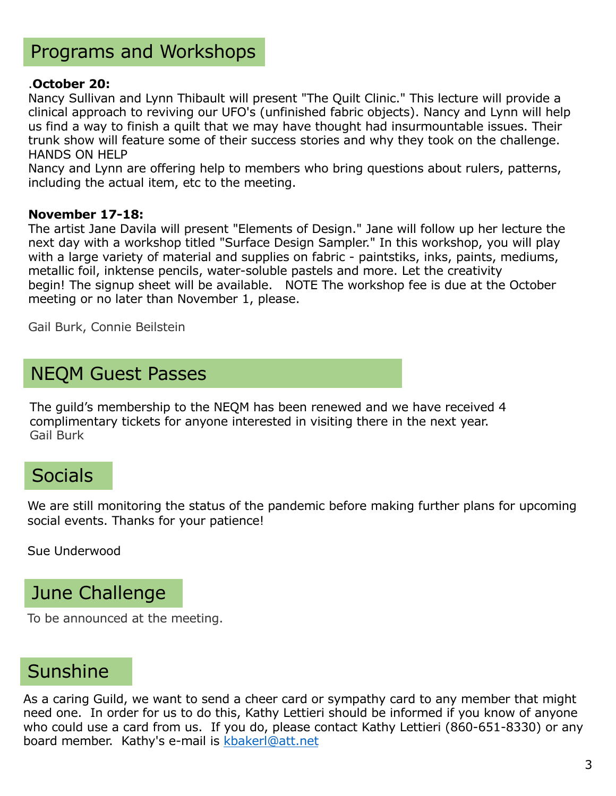# Programs and Workshops

#### .**October 20:**

Nancy Sullivan and Lynn Thibault will present "The Quilt Clinic." This lecture will provide a clinical approach to reviving our UFO's (unfinished fabric objects). Nancy and Lynn will help us find a way to finish a quilt that we may have thought had insurmountable issues. Their trunk show will feature some of their success stories and why they took on the challenge. HANDS ON HELP

Nancy and Lynn are offering help to members who bring questions about rulers, patterns, including the actual item, etc to the meeting.

#### **November 17-18:**

The artist Jane Davila will present "Elements of Design." Jane will follow up her lecture the next day with a workshop titled "Surface Design Sampler." In this workshop, you will play with a large variety of material and supplies on fabric - paintstiks, inks, paints, mediums, metallic foil, inktense pencils, water-soluble pastels and more. Let the creativity begin! The signup sheet will be available. NOTE The workshop fee is due at the October meeting or no later than November 1, please.

Gail Burk, Connie Beilstein

## NEQM Guest Passes

The guild's membership to the NEQM has been renewed and we have received 4 complimentary tickets for anyone interested in visiting there in the next year. Gail Burk

## **Socials**

We are still monitoring the status of the pandemic before making further plans for upcoming social events. Thanks for your patience!

Sue Underwood

## June Challenge

To be announced at the meeting.

## Sunshine

As a caring Guild, we want to send a cheer card or sympathy card to any member that might need one. In order for us to do this, Kathy Lettieri should be informed if you know of anyone who could use a card from us. If you do, please contact Kathy Lettieri (860-651-8330) or any board member. Kathy's e-mail is [kbakerl@att.ne](mailto:kbakerl@att.net)t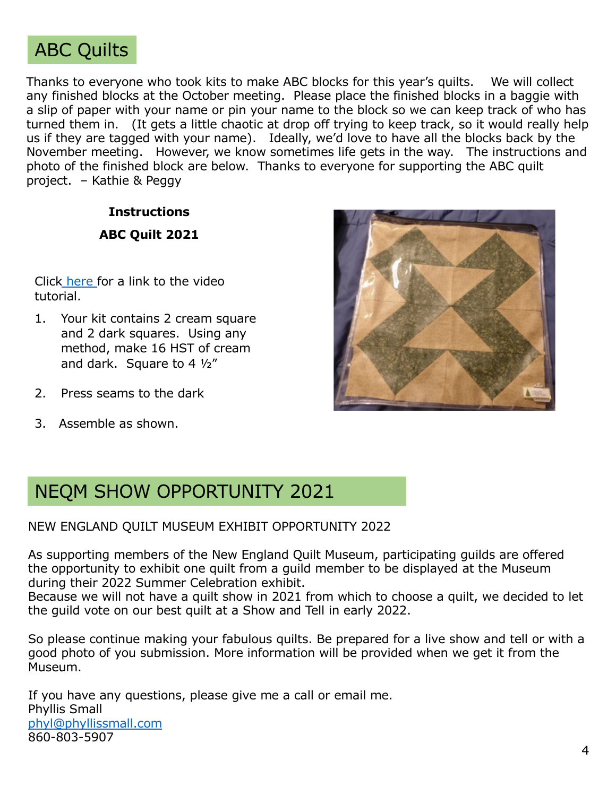

Thanks to everyone who took kits to make ABC blocks for this year's quilts. We will collect any finished blocks at the October meeting. Please place the finished blocks in a baggie with a slip of paper with your name or pin your name to the block so we can keep track of who has turned them in. (It gets a little chaotic at drop off trying to keep track, so it would really help us if they are tagged with your name). Ideally, we'd love to have all the blocks back by the November meeting. However, we know sometimes life gets in the way. The instructions and photo of the finished block are below. Thanks to everyone for supporting the ABC quilt project. – Kathie & Peggy

## **Instructions ABC Quilt 2021**

Click [here](https://www.bing.com/videos/search?q=missouri+star+quilt+company+brown+goose&&view=detail&mid=3017AA6F70D158132C283017AA6F70D158132C28&&FORM=VRDGAR) for a link to the video tutorial.

- 1. Your kit contains 2 cream square and 2 dark squares. Using any method, make 16 HST of cream and dark. Square to 4 ½"
- 2. Press seams to the dark
- 3. Assemble as shown.



## NEQM SHOW OPPORTUNITY 2021

#### NEW ENGLAND QUILT MUSEUM EXHIBIT OPPORTUNITY 2022

As supporting members of the New England Quilt Museum, participating guilds are offered the opportunity to exhibit one quilt from a guild member to be displayed at the Museum during their 2022 Summer Celebration exhibit.

Because we will not have a quilt show in 2021 from which to choose a quilt, we decided to let the guild vote on our best quilt at a Show and Tell in early 2022.

So please continue making your fabulous quilts. Be prepared for a live show and tell or with a good photo of you submission. More information will be provided when we get it from the Museum.

If you have any questions, please give me a call or email me. Phyllis Small [phyl@phyllissmall.com](mailto:phyl@phyllissmall.com) 860-803-5907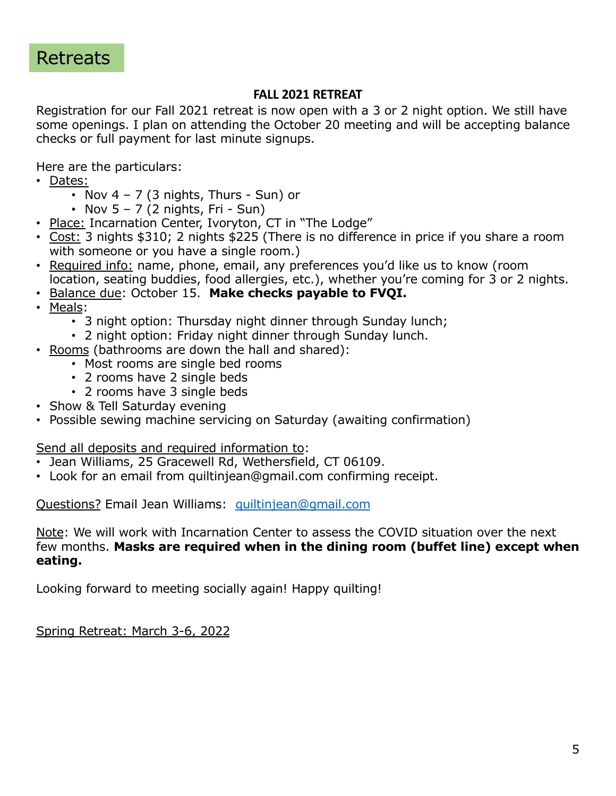#### **FALL 2021 RETREAT**

Registration for our Fall 2021 retreat is now open with a 3 or 2 night option. We still have some openings. I plan on attending the October 20 meeting and will be accepting balance checks or full payment for last minute signups.

Here are the particulars:

- Dates:
	- Nov  $4 7$  (3 nights, Thurs Sun) or
	- Nov  $5 7$  (2 nights, Fri Sun)
- Place: Incarnation Center, Ivoryton, CT in "The Lodge"
- Cost: 3 nights \$310; 2 nights \$225 (There is no difference in price if you share a room with someone or you have a single room.)
- Required info: name, phone, email, any preferences you'd like us to know (room location, seating buddies, food allergies, etc.), whether you're coming for 3 or 2 nights.
- Balance due: October 15. **Make checks payable to FVQI.**
- Meals:
	- 3 night option: Thursday night dinner through Sunday lunch;
	- 2 night option: Friday night dinner through Sunday lunch.
- Rooms (bathrooms are down the hall and shared):
	- Most rooms are single bed rooms
	- 2 rooms have 2 single beds
	- 2 rooms have 3 single beds
- Show & Tell Saturday evening
- Possible sewing machine servicing on Saturday (awaiting confirmation)

#### Send all deposits and required information to:

- Jean Williams, 25 Gracewell Rd, Wethersfield, CT 06109.
- Look for an email from quiltinjean@gmail.com confirming receipt.

Questions? Email Jean Williams: [quiltinjean@gmail.com](mailto:quiltinjean@gmail.com)

Note: We will work with Incarnation Center to assess the COVID situation over the next few months. **Masks are required when in the dining room (buffet line) except when eating.**

Looking forward to meeting socially again! Happy quilting!

Spring Retreat: March 3-6, 2022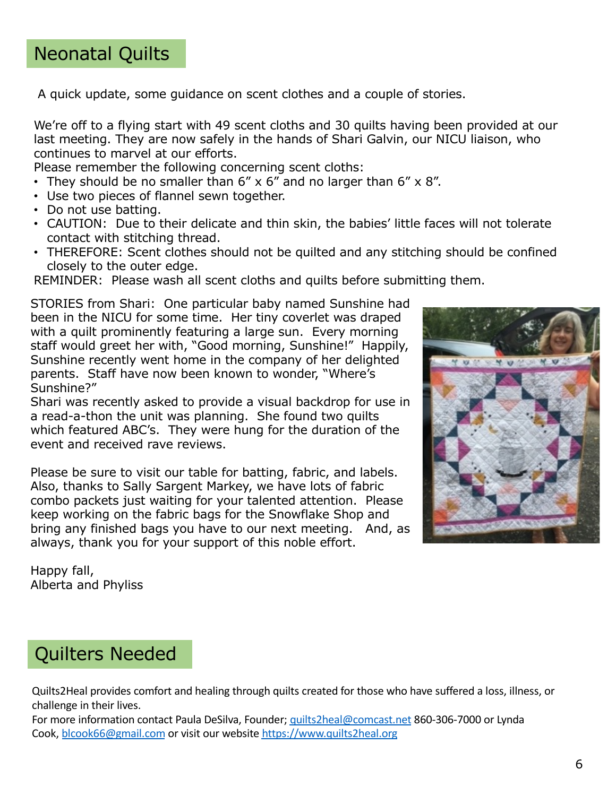# Neonatal Quilts

A quick update, some guidance on scent clothes and a couple of stories.

We're off to a flying start with 49 scent cloths and 30 quilts having been provided at our last meeting. They are now safely in the hands of Shari Galvin, our NICU liaison, who continues to marvel at our efforts.

Please remember the following concerning scent cloths:

- They should be no smaller than  $6'' \times 6''$  and no larger than  $6'' \times 8''$ .
- Use two pieces of flannel sewn together.
- Do not use batting.
- CAUTION: Due to their delicate and thin skin, the babies' little faces will not tolerate contact with stitching thread.
- THEREFORE: Scent clothes should not be quilted and any stitching should be confined closely to the outer edge.

REMINDER: Please wash all scent cloths and quilts before submitting them.

STORIES from Shari: One particular baby named Sunshine had been in the NICU for some time. Her tiny coverlet was draped with a quilt prominently featuring a large sun. Every morning staff would greet her with, "Good morning, Sunshine!" Happily, Sunshine recently went home in the company of her delighted parents. Staff have now been known to wonder, "Where's Sunshine?"

Shari was recently asked to provide a visual backdrop for use in a read-a-thon the unit was planning. She found two quilts which featured ABC's. They were hung for the duration of the event and received rave reviews.

Please be sure to visit our table for batting, fabric, and labels. Also, thanks to Sally Sargent Markey, we have lots of fabric combo packets just waiting for your talented attention. Please keep working on the fabric bags for the Snowflake Shop and bring any finished bags you have to our next meeting. And, as always, thank you for your support of this noble effort.



Happy fall, Alberta and Phyliss

# Quilters Needed

Quilts2Heal provides comfort and healing through quilts created for those who have suffered a loss, illness, or challenge in their lives.

For more information contact Paula DeSilva, Founder; [quilts2heal@comcast.ne](mailto:quilts2heal@comcast.net)t 860-306-7000 or Lynda Cook, [blcook66@gmail.com](mailto:blcook66@gmail.com) or visit our website [https://www.quilts2heal.or](https://www.quilts2heal.org/)g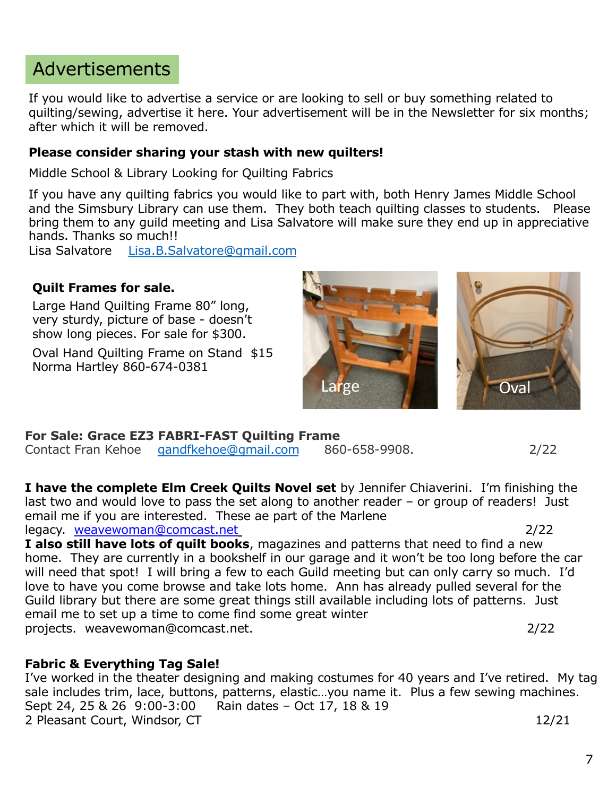# Advertisements

If you would like to advertise a service or are looking to sell or buy something related to quilting/sewing, advertise it here. Your advertisement will be in the Newsletter for six months; after which it will be removed.

#### **Please consider sharing your stash with new quilters!**

Middle School & Library Looking for Quilting Fabrics

If you have any quilting fabrics you would like to part with, both Henry James Middle School and the Simsbury Library can use them. They both teach quilting classes to students. Please bring them to any guild meeting and Lisa Salvatore will make sure they end up in appreciative hands. Thanks so much!!

Lisa Salvatore [Lisa.B.Salvatore@gmail.com](mailto:Lisa.B.Salvatore@gmail.com)

#### **Quilt Frames for sale.**

Large Hand Quilting Frame 80" long, very sturdy, picture of base - doesn't show long pieces. For sale for \$300.

Oval Hand Quilting Frame on Stand \$15 Norma Hartley 860-674-0381



**For Sale: Grace EZ3 FABRI-FAST Quilting Frame**  Contact Fran Kehoe [gandfkehoe@gmail.com](mailto:gandfkehoe@gmail.com) 860-658-9908. 2/22

**I have the complete Elm Creek Quilts Novel set** by Jennifer Chiaverini. I'm finishing the last two and would love to pass the set along to another reader – or group of readers! Just email me if you are interested. These ae part of the Marlene legacy. weavewoman@comcast.net 2/22

I also still have lots of quilt books, magazines and patterns that need to find a new home. They are currently in a bookshelf in our garage and it won't be too long before the car will need that spot! I will bring a few to each Guild meeting but can only carry so much. I'd love to have you come browse and take lots home. Ann has already pulled several for the Guild library but there are some great things still available including lots of patterns. Just email me to set up a time to come find some great winter projects. weavewoman@comcast.net. 2/22

#### **Fabric & Everything Tag Sale!**

I've worked in the theater designing and making costumes for 40 years and I've retired. My tag sale includes trim, lace, buttons, patterns, elastic...you name it. Plus a few sewing machines.<br>Sept 24, 25 & 26 9:00-3:00 Rain dates - Oct 17, 18 & 19 Sept 24, 25 & 26 9:00-3:00 2 Pleasant Court, Windsor, CT 12/21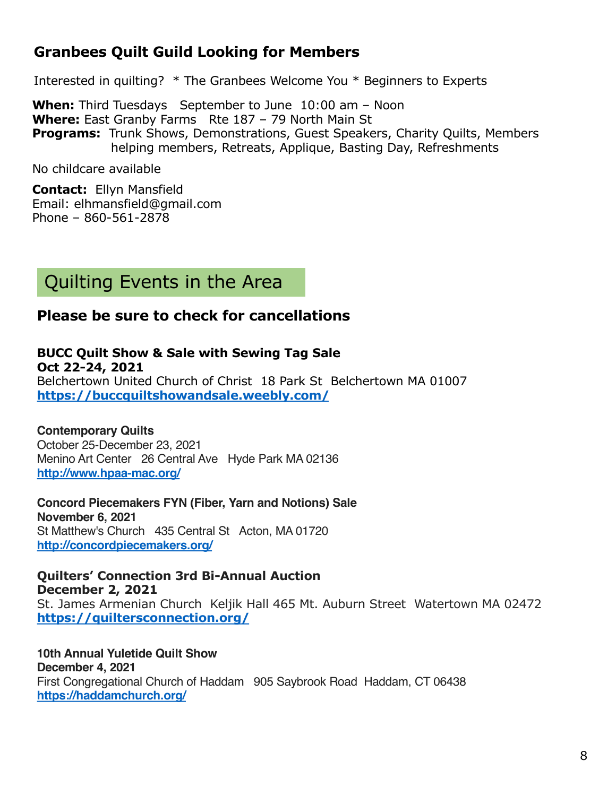## **Granbees Quilt Guild Looking for Members**

Interested in quilting? \* The Granbees Welcome You \* Beginners to Experts

**When:** Third Tuesdays September to June 10:00 am – Noon **Where:** East Granby Farms Rte 187 – 79 North Main St **Programs:** Trunk Shows, Demonstrations, Guest Speakers, Charity Quilts, Members helping members, Retreats, Applique, Basting Day, Refreshments

No childcare available

**Contact:** Ellyn Mansfield Email: elhmansfield@gmail.com Phone – 860-561-2878

# Quilting Events in the Area

### **Please be sure to check for cancellations**

#### **BUCC Quilt Show & Sale with Sewing Tag Sale Oct 22-24, 2021**

Belchertown United Church of Christ 18 Park St Belchertown MA 01007 **[https://buccquiltshowandsale.weebly.com](https://sewmanyshows.us19.list-manage.com/track/click?u=45e35880b67872826e6bfbfc2&id=b83fd5b50f&e=781fb09e8a)/**

**Contemporary Quilts**

October 25-December 23, 2021 Menino Art Center 26 Central Ave Hyde Park MA 02136 **[http://www.hpaa-mac.org](https://sewmanyshows.us19.list-manage.com/track/click?u=45e35880b67872826e6bfbfc2&id=37763ad6ad&e=781fb09e8a)/**

**Concord Piecemakers FYN (Fiber, Yarn and Notions) Sale November 6, 2021** St Matthew's Church 435 Central St Acton, MA 01720 **[http://concordpiecemakers.org](https://sewmanyshows.us19.list-manage.com/track/click?u=45e35880b67872826e6bfbfc2&id=f85b7392b3&e=781fb09e8a)/**

**Quilters' Connection 3rd Bi-Annual Auction December 2, 2021** St. James Armenian Church Keljik Hall 465 Mt. Auburn Street Watertown MA 02472 **[https://quiltersconnection.org](https://sewmanyshows.us19.list-manage.com/track/click?u=45e35880b67872826e6bfbfc2&id=49700ca1dd&e=781fb09e8a)/**

**10th Annual Yuletide Quilt Show December 4, 2021** First Congregational Church of Haddam 905 Saybrook Road Haddam, CT 06438 **[https://haddamchurch.org](https://sewmanyshows.us19.list-manage.com/track/click?u=45e35880b67872826e6bfbfc2&id=a154b11a20&e=781fb09e8a)/**